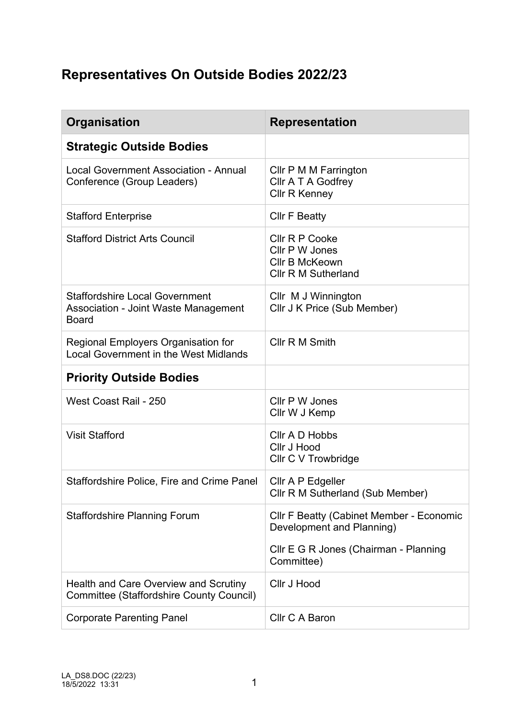## **Representatives On Outside Bodies 2022/23**

| <b>Organisation</b>                                                                                  | <b>Representation</b>                                                                   |
|------------------------------------------------------------------------------------------------------|-----------------------------------------------------------------------------------------|
| <b>Strategic Outside Bodies</b>                                                                      |                                                                                         |
| Local Government Association - Annual<br>Conference (Group Leaders)                                  | Cllr P M M Farrington<br>Cllr A T A Godfrey<br><b>Cllr R Kenney</b>                     |
| <b>Stafford Enterprise</b>                                                                           | <b>CIIr F Beatty</b>                                                                    |
| <b>Stafford District Arts Council</b>                                                                | Cllr R P Cooke<br>Cllr P W Jones<br><b>CIIr B McKeown</b><br><b>CIIr R M Sutherland</b> |
| <b>Staffordshire Local Government</b><br><b>Association - Joint Waste Management</b><br><b>Board</b> | Cllr M J Winnington<br>Cllr J K Price (Sub Member)                                      |
| Regional Employers Organisation for<br><b>Local Government in the West Midlands</b>                  | Cllr R M Smith                                                                          |
| <b>Priority Outside Bodies</b>                                                                       |                                                                                         |
| West Coast Rail - 250                                                                                | Cllr P W Jones<br>Cllr W J Kemp                                                         |
| <b>Visit Stafford</b>                                                                                | Cllr A D Hobbs<br><b>Cllr J Hood</b><br>Cllr C V Trowbridge                             |
| Staffordshire Police, Fire and Crime Panel                                                           | Cllr A P Edgeller<br>Cllr R M Sutherland (Sub Member)                                   |
| <b>Staffordshire Planning Forum</b>                                                                  | <b>CIIr F Beatty (Cabinet Member - Economic</b><br>Development and Planning)            |
|                                                                                                      | Cllr E G R Jones (Chairman - Planning<br>Committee)                                     |
| Health and Care Overview and Scrutiny<br><b>Committee (Staffordshire County Council)</b>             | <b>Cllr J Hood</b>                                                                      |
| <b>Corporate Parenting Panel</b>                                                                     | Cllr C A Baron                                                                          |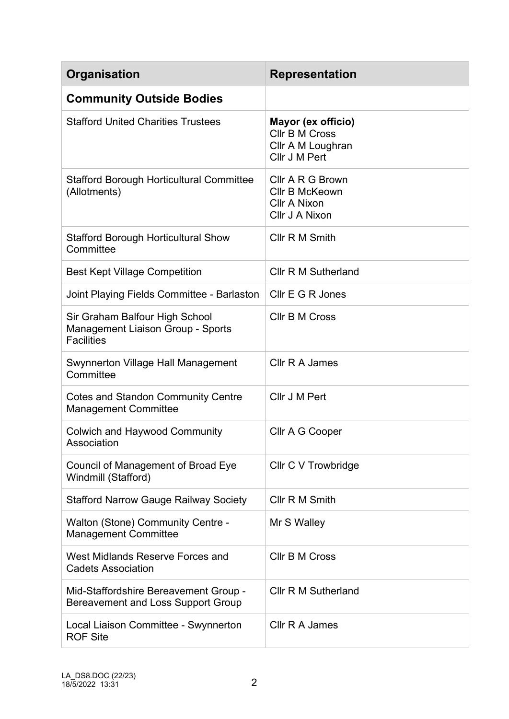| <b>Organisation</b>                                                                             | <b>Representation</b>                                                             |
|-------------------------------------------------------------------------------------------------|-----------------------------------------------------------------------------------|
| <b>Community Outside Bodies</b>                                                                 |                                                                                   |
| <b>Stafford United Charities Trustees</b>                                                       | Mayor (ex officio)<br><b>CIIr B M Cross</b><br>Cllr A M Loughran<br>Cllr J M Pert |
| <b>Stafford Borough Horticultural Committee</b><br>(Allotments)                                 | Cllr A R G Brown<br>Cllr B McKeown<br><b>Cllr A Nixon</b><br>Cllr J A Nixon       |
| <b>Stafford Borough Horticultural Show</b><br>Committee                                         | Cllr R M Smith                                                                    |
| <b>Best Kept Village Competition</b>                                                            | <b>CIIr R M Sutherland</b>                                                        |
| Joint Playing Fields Committee - Barlaston                                                      | Cllr E G R Jones                                                                  |
| Sir Graham Balfour High School<br><b>Management Liaison Group - Sports</b><br><b>Facilities</b> | <b>CIIr B M Cross</b>                                                             |
| Swynnerton Village Hall Management<br>Committee                                                 | Cllr R A James                                                                    |
| <b>Cotes and Standon Community Centre</b><br><b>Management Committee</b>                        | Cllr J M Pert                                                                     |
| <b>Colwich and Haywood Community</b><br>Association                                             | Cllr A G Cooper                                                                   |
| Council of Management of Broad Eye<br>Windmill (Stafford)                                       | Cllr C V Trowbridge                                                               |
| <b>Stafford Narrow Gauge Railway Society</b>                                                    | Cllr R M Smith                                                                    |
| <b>Walton (Stone) Community Centre -</b><br><b>Management Committee</b>                         | Mr S Walley                                                                       |
| West Midlands Reserve Forces and<br><b>Cadets Association</b>                                   | <b>CIIr B M Cross</b>                                                             |
| Mid-Staffordshire Bereavement Group -<br>Bereavement and Loss Support Group                     | <b>CIIr R M Sutherland</b>                                                        |
| Local Liaison Committee - Swynnerton<br><b>ROF Site</b>                                         | Cllr R A James                                                                    |